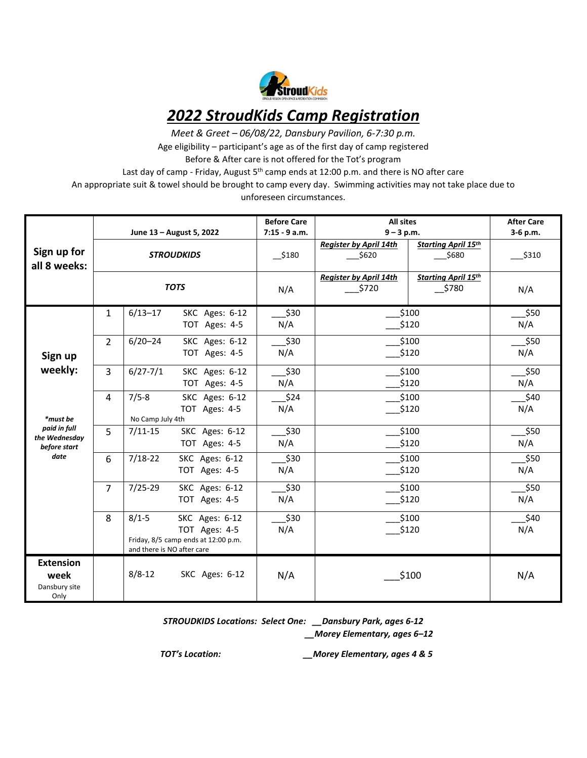

*2022 StroudKids Camp Registration*

*Meet & Greet – 06/08/22, Dansbury Pavilion, 6-7:30 p.m.* Age eligibility – participant's age as of the first day of camp registered Before & After care is not offered for the Tot's program

Last day of camp - Friday, August 5<sup>th</sup> camp ends at 12:00 p.m. and there is NO after care

An appropriate suit & towel should be brought to camp every day. Swimming activities may not take place due to unforeseen circumstances.

|                                                           |                                                                   |                                         |                                                                        | <b>Before Care</b> | <b>All sites</b>                       |                                          | <b>After Care</b> |
|-----------------------------------------------------------|-------------------------------------------------------------------|-----------------------------------------|------------------------------------------------------------------------|--------------------|----------------------------------------|------------------------------------------|-------------------|
| June 13 - August 5, 2022                                  |                                                                   |                                         | $7:15 - 9$ a.m.                                                        | $9 - 3 p.m.$       |                                        | 3-6 p.m.                                 |                   |
| Sign up for<br>all 8 weeks:                               | <b>STROUDKIDS</b><br><b>TOTS</b>                                  |                                         |                                                                        | $\_$ \$180         | <b>Register by April 14th</b><br>\$620 | <b>Starting April 15th</b><br>\$680      | 5310              |
|                                                           |                                                                   |                                         |                                                                        | N/A                | <b>Register by April 14th</b><br>\$720 | <b>Starting April 15th</b><br>$\_$ \$780 | N/A               |
|                                                           | $\mathbf{1}$                                                      | $6/13 - 17$                             | SKC Ages: 6-12<br>TOT Ages: 4-5                                        | \$30<br>N/A        |                                        | \$100<br>\$120                           | \$50<br>N/A       |
| Sign up                                                   | $\overline{2}$                                                    | $6/20 - 24$                             | SKC Ages: 6-12<br>TOT Ages: 4-5                                        | \$30<br>N/A        | \$100<br>\$120                         |                                          | \$50<br>N/A       |
| weekly:                                                   | $6/27 - 7/1$<br>$\overline{3}$<br>SKC Ages: 6-12<br>TOT Ages: 4-5 |                                         | \$30<br>N/A                                                            | \$100<br>\$120     |                                        | \$50<br>N/A                              |                   |
|                                                           | 4                                                                 | $7/5 - 8$                               | SKC Ages: 6-12<br>TOT Ages: 4-5                                        | \$24<br>N/A        |                                        | \$100<br>\$120                           | \$40<br>N/A       |
| *must be<br>paid in full<br>the Wednesday<br>before start | 5                                                                 | No Camp July 4th<br>$7/11 - 15$         | SKC Ages: 6-12<br>TOT Ages: 4-5                                        | \$30<br>N/A        | \$120                                  | \$100                                    | \$50<br>N/A       |
| date                                                      | 6                                                                 | $7/18 - 22$                             | SKC Ages: 6-12<br>TOT Ages: 4-5                                        | \$30<br>N/A        | \$100<br>\$120                         |                                          | \$50<br>N/A       |
|                                                           | $\overline{7}$                                                    | $7/25 - 29$                             | SKC Ages: 6-12<br>TOT Ages: 4-5                                        | \$30<br>N/A        | \$100<br>\$120                         |                                          | \$50<br>N/A       |
|                                                           | 8                                                                 | $8/1 - 5$<br>and there is NO after care | SKC Ages: 6-12<br>TOT Ages: 4-5<br>Friday, 8/5 camp ends at 12:00 p.m. | \$30<br>N/A        |                                        | \$100<br>\$120                           | \$40<br>N/A       |
| <b>Extension</b><br>week<br>Dansbury site<br>Only         |                                                                   | $8/8 - 12$                              | SKC Ages: 6-12                                                         | N/A                |                                        | \$100                                    | N/A               |

*STROUDKIDS Locations: Select One: \_\_Dansbury Park, ages 6-12* 

 *\_\_Morey Elementary, ages 6–12*

 *TOT's Location: \_\_Morey Elementary, ages 4 & 5*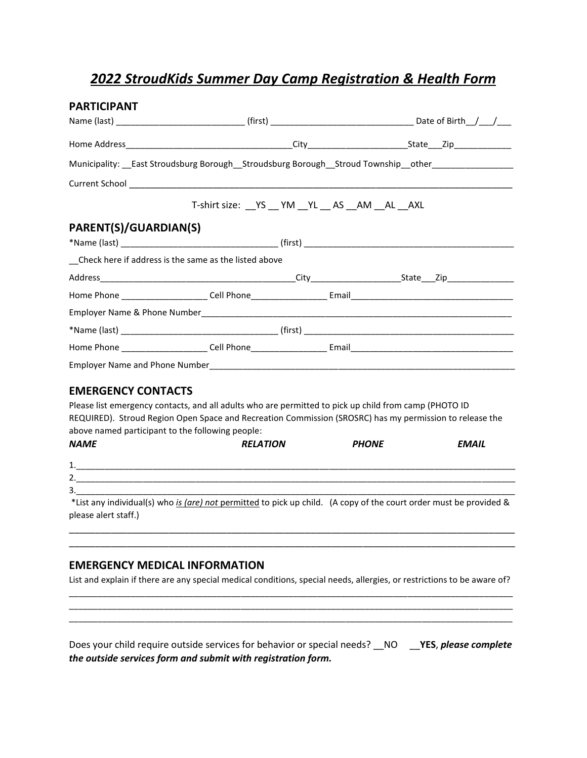# *2022 StroudKids Summer Day Camp Registration & Health Form*

| <b>PARTICIPANT</b>                                                                                                                         |                                     |              |              |
|--------------------------------------------------------------------------------------------------------------------------------------------|-------------------------------------|--------------|--------------|
|                                                                                                                                            |                                     |              |              |
|                                                                                                                                            |                                     |              |              |
| Municipality: __East Stroudsburg Borough__Stroudsburg Borough__Stroud Township__other______________                                        |                                     |              |              |
|                                                                                                                                            |                                     |              |              |
|                                                                                                                                            | T-shirt size: YS YM YL AS AM AL AXL |              |              |
| PARENT(S)/GUARDIAN(S)                                                                                                                      |                                     |              |              |
|                                                                                                                                            |                                     |              |              |
| _Check here if address is the same as the listed above                                                                                     |                                     |              |              |
|                                                                                                                                            |                                     |              |              |
| Home Phone _________________________Cell Phone_________________________Email__________________________________                             |                                     |              |              |
|                                                                                                                                            |                                     |              |              |
|                                                                                                                                            |                                     |              |              |
|                                                                                                                                            |                                     |              |              |
|                                                                                                                                            |                                     |              |              |
| <b>EMERGENCY CONTACTS</b>                                                                                                                  |                                     |              |              |
| Please list emergency contacts, and all adults who are permitted to pick up child from camp (PHOTO ID                                      |                                     |              |              |
| REQUIRED). Stroud Region Open Space and Recreation Commission (SROSRC) has my permission to release the                                    |                                     |              |              |
| above named participant to the following people:                                                                                           |                                     |              |              |
| <b>NAME</b>                                                                                                                                | <b>RELATION</b>                     | <b>PHONE</b> | <b>EMAIL</b> |
|                                                                                                                                            |                                     |              |              |
|                                                                                                                                            |                                     |              |              |
|                                                                                                                                            |                                     |              |              |
| *List any individual(s) who is (are) not permitted to pick up child. (A copy of the court order must be provided &<br>please alert staff.) |                                     |              |              |

### **EMERGENCY MEDICAL INFORMATION**

List and explain if there are any special medical conditions, special needs, allergies, or restrictions to be aware of? \_\_\_\_\_\_\_\_\_\_\_\_\_\_\_\_\_\_\_\_\_\_\_\_\_\_\_\_\_\_\_\_\_\_\_\_\_\_\_\_\_\_\_\_\_\_\_\_\_\_\_\_\_\_\_\_\_\_\_\_\_\_\_\_\_\_\_\_\_\_\_\_\_\_\_\_\_\_\_\_\_\_\_\_\_\_\_\_\_\_\_\_\_

\_\_\_\_\_\_\_\_\_\_\_\_\_\_\_\_\_\_\_\_\_\_\_\_\_\_\_\_\_\_\_\_\_\_\_\_\_\_\_\_\_\_\_\_\_\_\_\_\_\_\_\_\_\_\_\_\_\_\_\_\_\_\_\_\_\_\_\_\_\_\_\_\_\_\_\_\_\_\_\_\_\_\_\_\_\_\_\_\_\_\_\_\_ \_\_\_\_\_\_\_\_\_\_\_\_\_\_\_\_\_\_\_\_\_\_\_\_\_\_\_\_\_\_\_\_\_\_\_\_\_\_\_\_\_\_\_\_\_\_\_\_\_\_\_\_\_\_\_\_\_\_\_\_\_\_\_\_\_\_\_\_\_\_\_\_\_\_\_\_\_\_\_\_\_\_\_\_\_\_\_\_\_\_\_\_\_

\_\_\_\_\_\_\_\_\_\_\_\_\_\_\_\_\_\_\_\_\_\_\_\_\_\_\_\_\_\_\_\_\_\_\_\_\_\_\_\_\_\_\_\_\_\_\_\_\_\_\_\_\_\_\_\_\_\_\_\_\_\_\_\_\_\_\_\_\_\_\_\_\_\_\_\_\_\_\_\_\_\_\_\_\_

| Does your child require outside services for behavior or special needs? | NO | <b>YES, please complete</b> |
|-------------------------------------------------------------------------|----|-----------------------------|
| the outside services form and submit with registration form.            |    |                             |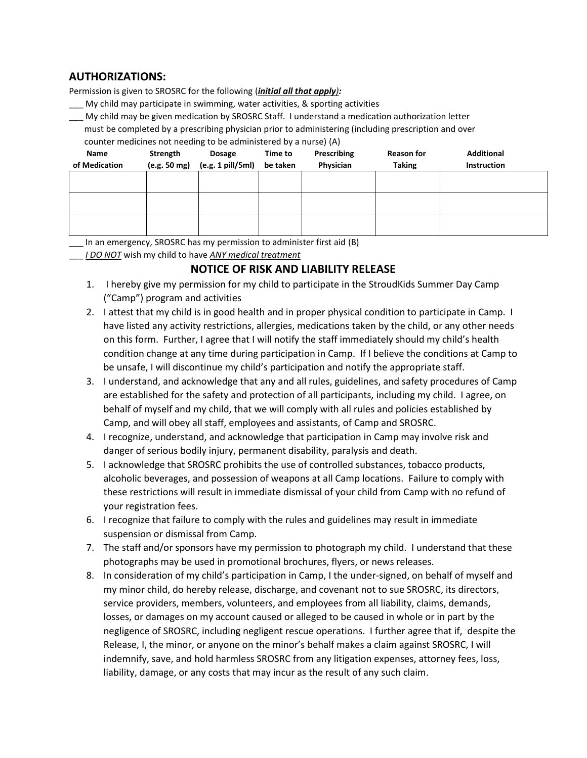## **AUTHORIZATIONS:**

Permission is given to SROSRC for the following (*initial all that apply):*

- \_\_\_ My child may participate in swimming, water activities, & sporting activities
- My child may be given medication by SROSRC Staff. I understand a medication authorization letter must be completed by a prescribing physician prior to administering (including prescription and over counter medicines not needing to be administered by a nurse) (A)

| Name<br>of Medication | Strength<br>(e.g. 50 mg) | <b>Dosage</b><br>(e.g. 1 pill/5ml) | Time to<br>be taken | Prescribing<br>Physician | <b>Reason for</b><br><b>Taking</b> | <b>Additional</b><br><b>Instruction</b> |
|-----------------------|--------------------------|------------------------------------|---------------------|--------------------------|------------------------------------|-----------------------------------------|
|                       |                          |                                    |                     |                          |                                    |                                         |
|                       |                          |                                    |                     |                          |                                    |                                         |
|                       |                          |                                    |                     |                          |                                    |                                         |

\_\_\_ In an emergency, SROSRC has my permission to administer first aid (B)

\_\_\_ *I DO NOT* wish my child to have *ANY medical treatment*

# **NOTICE OF RISK AND LIABILITY RELEASE**

- 1. I hereby give my permission for my child to participate in the StroudKids Summer Day Camp ("Camp") program and activities
- 2. I attest that my child is in good health and in proper physical condition to participate in Camp. I have listed any activity restrictions, allergies, medications taken by the child, or any other needs on this form. Further, I agree that I will notify the staff immediately should my child's health condition change at any time during participation in Camp. If I believe the conditions at Camp to be unsafe, I will discontinue my child's participation and notify the appropriate staff.
- 3. I understand, and acknowledge that any and all rules, guidelines, and safety procedures of Camp are established for the safety and protection of all participants, including my child. I agree, on behalf of myself and my child, that we will comply with all rules and policies established by Camp, and will obey all staff, employees and assistants, of Camp and SROSRC.
- 4. I recognize, understand, and acknowledge that participation in Camp may involve risk and danger of serious bodily injury, permanent disability, paralysis and death.
- 5. I acknowledge that SROSRC prohibits the use of controlled substances, tobacco products, alcoholic beverages, and possession of weapons at all Camp locations. Failure to comply with these restrictions will result in immediate dismissal of your child from Camp with no refund of your registration fees.
- 6. I recognize that failure to comply with the rules and guidelines may result in immediate suspension or dismissal from Camp.
- 7. The staff and/or sponsors have my permission to photograph my child. I understand that these photographs may be used in promotional brochures, flyers, or news releases.
- 8. In consideration of my child's participation in Camp, I the under-signed, on behalf of myself and my minor child, do hereby release, discharge, and covenant not to sue SROSRC, its directors, service providers, members, volunteers, and employees from all liability, claims, demands, losses, or damages on my account caused or alleged to be caused in whole or in part by the negligence of SROSRC, including negligent rescue operations. I further agree that if, despite the Release, I, the minor, or anyone on the minor's behalf makes a claim against SROSRC, I will indemnify, save, and hold harmless SROSRC from any litigation expenses, attorney fees, loss, liability, damage, or any costs that may incur as the result of any such claim.